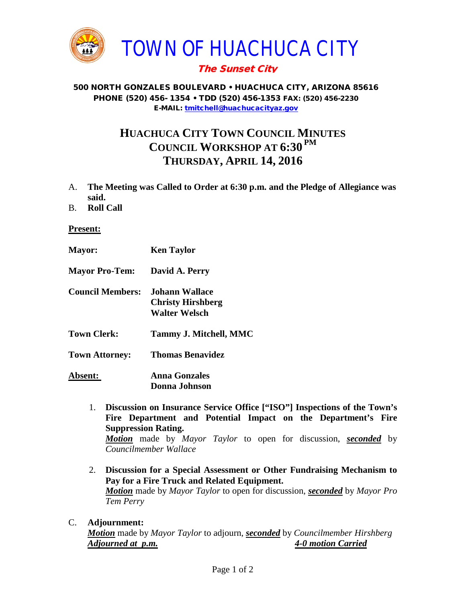

## The Sunset City

## 500 NORTH GONZALES BOULEVARD • HUACHUCA CITY, ARIZONA 85616 PHONE (520) 456- 1354 • TDD (520) 456-1353 FAX: (520) 456-2230 E-MAIL: [tmitchell@huachucacityaz.gov](mailto:tmitchell@huachucacityaz.gov)

## **HUACHUCA CITY TOWN COUNCIL MINUTES COUNCIL WORKSHOP AT 6:30 PM THURSDAY, APRIL 14, 2016**

- A. **The Meeting was Called to Order at 6:30 p.m. and the Pledge of Allegiance was said.**
- B. **Roll Call**

**Present:**

- **Mayor: Ken Taylor Mayor Pro-Tem: David A. Perry Council Members: Johann Wallace Christy Hirshberg Walter Welsch Town Clerk: Tammy J. Mitchell, MMC Town Attorney: Thomas Benavidez Absent: Anna Gonzales Donna Johnson**
	- 1. **Discussion on Insurance Service Office ["ISO"] Inspections of the Town's Fire Department and Potential Impact on the Department's Fire Suppression Rating.** *Motion* made by *Mayor Taylor* to open for discussion, *seconded* by *Councilmember Wallace*
	- 2. **Discussion for a Special Assessment or Other Fundraising Mechanism to Pay for a Fire Truck and Related Equipment.** *Motion* made by *Mayor Taylor* to open for discussion, *seconded* by *Mayor Pro Tem Perry*
- C. **Adjournment:** *Motion* made by *Mayor Taylor* to adjourn, *seconded* by *Councilmember Hirshberg Adjourned at p.m. 4-0 motion Carried*